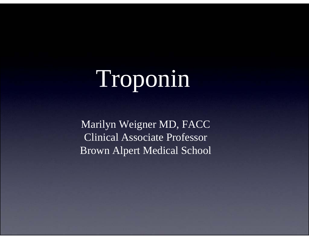# Troponin

Marilyn Weigner MD, FACC Clinical Associate Professor Brown Alpert Medical School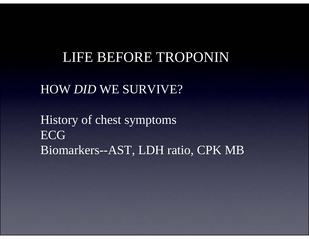#### LIFE BEFORE TROPONIN

HOW *DID* WE SURVIVE?

History of chest symptoms ECGBiomarkers--AST, LDH ratio, CPK MB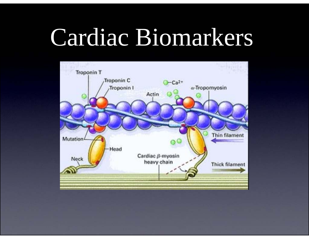# Cardiac Biomarkers

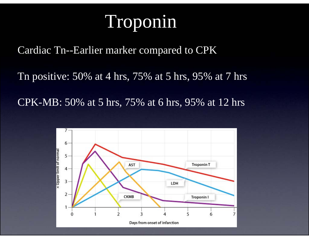## Troponin

Cardiac Tn--Earlier marker compared to CPK

Tn positive: 50% at 4 hrs, 75% at 5 hrs, 95% at 7 hrs

CPK-MB: 50% at 5 hrs, 75% at 6 hrs, 95% at 12 hrs

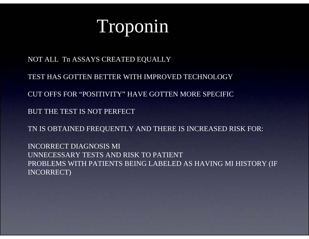### Troponin

NOT ALL Tn ASSAYS CREATED EQUALLY

TEST HAS GOTTEN BETTER WITH IMPROVED TECHNOLOGY

CUT OFFS FOR "POSITIVITY" HAVE GOTTEN MORE SPECIFIC

BUT THE TEST IS NOT PERFECT

TN IS OBTAINED FREQUENTLY AND THERE IS INCREASED RISK FOR:

INCORRECT DIAGNOSIS MIUNNECESSARY TESTS AND RISK TO PATIENTPROBLEMS WITH PATIENTS BEING LABELED AS HAVING MI HISTORY (IF INCORRECT)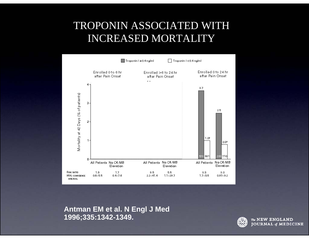#### TROPONIN ASSOCIATED WITH INCREASED MORTALITY



**Antman EM et al. N Engl J Med 1996;335:1342-1349.**



The NEW ENGLAND **JOURNAL of MEDICINE**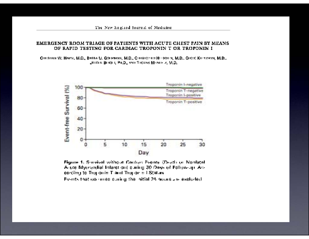#### EMERGENCY ROOM TRIAGE OF PATIENTS WITH ACUTE CHEST PAIN BY MEANS OF RAPID TESTING FOR CARDIAC TROPONIN T OR TROPONIN I

CHESTIAN W. HAMM, M.D., BRITTA U. GOLDWANN, M.D., CHRISTOPH STEP N. M.D., GLOSC KIC WANNA, M.D., Júcea a Breigne, Pu, D., And Toreway Marson Z, M. D.





Events that up image curing the initial 24 hours are excluded.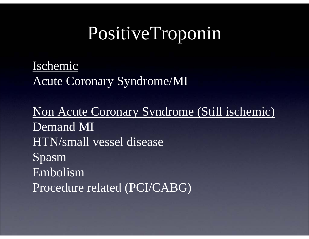### PositiveTroponin

Ischemic Acute Coronary Syndrome/MI

Non Acute Coronary Syndrome (Still ischemic) Demand MIHTN/small vessel diseaseSpasm EmbolismProcedure related (PCI/CABG)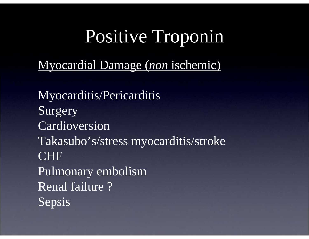## Positive Troponin

Myocardial Damage (*non* ischemic)

Myocarditis/Pericarditis Surgery Cardioversion Takasubo's/stress myocarditis/stroke **CHF** Pulmonary embolism Renal failure ?Sepsis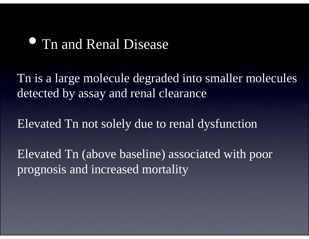#### $\bullet$ Tn and Renal Disease

Tn is a large molecule degraded into smaller molecules detected by assay and renal clearance

Elevated Tn not solely due to renal dysfunction

Elevated Tn (above baseline) associated with poor prognosis and increased mortality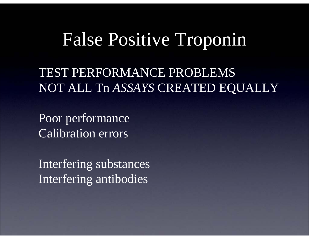### False Positive Troponin

TEST PERFORMANCE PROBLEMS NOT ALL Tn *ASSAYS* CREATED EQUALLY

Poor performance Calibration errors

Interfering substances Interfering antibodies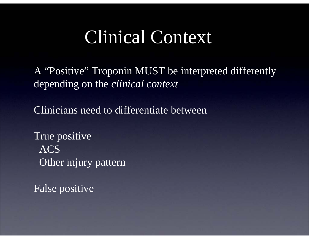### Clinical Context

A "Positive" Troponin MUST be interpreted differently depending on the *clinical context*

Clinicians need to differentiate between

True positive ACS Other injury pattern

False positive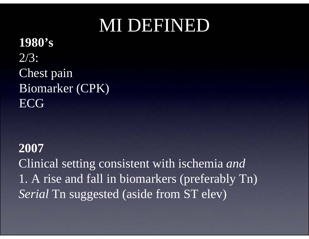### MI DEFINED

**1980's**  2/3: Chest pain Biomarker (CPK) **ECG** 

**2007**Clinical setting consistent with ischemia *and* 1. A rise and fall in biomarkers (preferably Tn) *Serial* Tn suggested (aside from ST elev)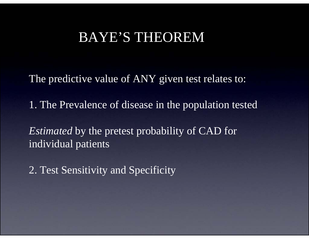#### BAYE'S THEOREM

The predictive value of ANY given test relates to:

1. The Prevalence of disease in the population tested

*Estimated* by the pretest probability of CAD for individual patients

2. Test Sensitivity and Specificity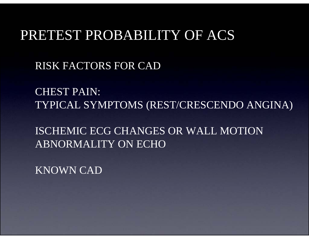#### PRETEST PROBABILITY OF ACS

RISK FACTORS FOR CAD

CHEST PAIN: TYPICAL SYMPTOMS (REST/CRESCENDO ANGINA)

ISCHEMIC ECG CHANGES OR WALL MOTION ABNORMALITY ON ECHO

KNOWN CAD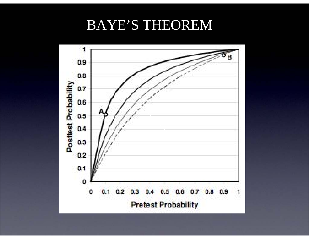### BAYE'S THEOREM

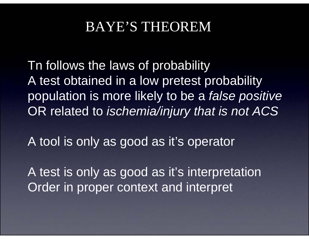### BAYE'S THEOREM

Tn follows the laws of probability A test obtained in a low pretest probability population is more likely to be a *false positive* OR related to *ischemia/injury that is not ACS*

A tool is only as good as it's operator

A test is only as good as it's interpretation Order in proper context and interpret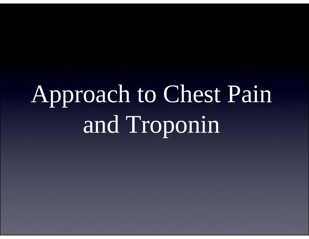# Approach to Chest Pain and Troponin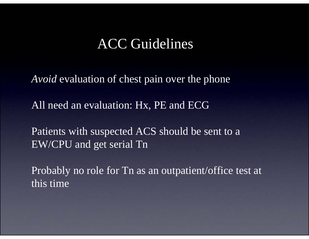#### ACC Guidelines

*Avoid* evaluation of chest pain over the phone

All need an evaluation: Hx, PE and ECG

Patients with suspected ACS should be sent to a EW/CPU and get serial Tn

Probably no role for Tn as an outpatient/office test at this time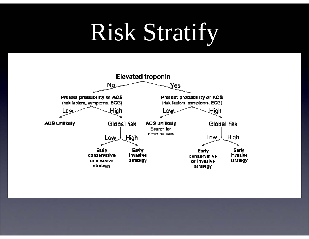# Risk Stratify